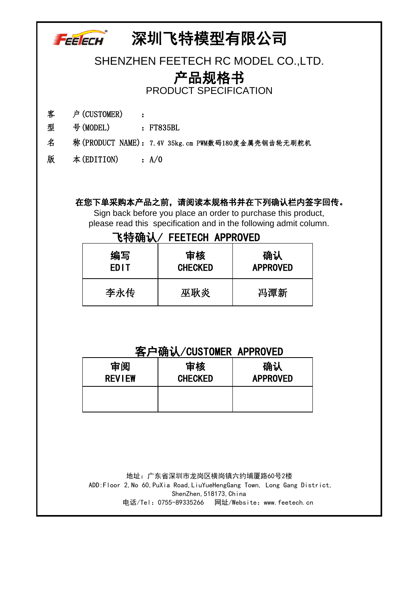## 深圳飞特模型有限公司 FEELECH SHENZHEN FEETECH RC MODEL CO.,LTD. 产品规格书 PRODUCT SPECIFICATION 客 户(CUSTOMER) : 型 号(MODEL) : FT835BL 名 称(PRODUCT NAME):7.4V 35kg.cm PWM数码180度金属壳钢齿轮无刷舵机

版 本(EDITION) :A/0

## 在您下单采购本产品之前,请阅读本规格书并在下列确认栏内签字回传。

Sign back before you place an order to purchase this product, please read this specification and in the following admit column.

## 飞特确认/ FEETECH APPROVED

| 编写   | 审核             | 确认              |  |
|------|----------------|-----------------|--|
| EDIT | <b>CHECKED</b> | <b>APPROVED</b> |  |
| 李永传  | 巫耿炎            | 冯潭新             |  |

## 客户确认/CUSTOMER APPROVED

| 审阅            | 审核             | 确认              |  |  |
|---------------|----------------|-----------------|--|--|
| <b>REVIEW</b> | <b>CHECKED</b> | <b>APPROVED</b> |  |  |
|               |                |                 |  |  |

 电话/Tel:0755-89335266 网址/Website:www.feetech.cn 地址:广东省深圳市龙岗区横岗镇六约埔厦路60号2楼 ADD:Floor 2,No 60,PuXia Road,LiuYueHengGang Town, Long Gang District, ShenZhen, 518173, China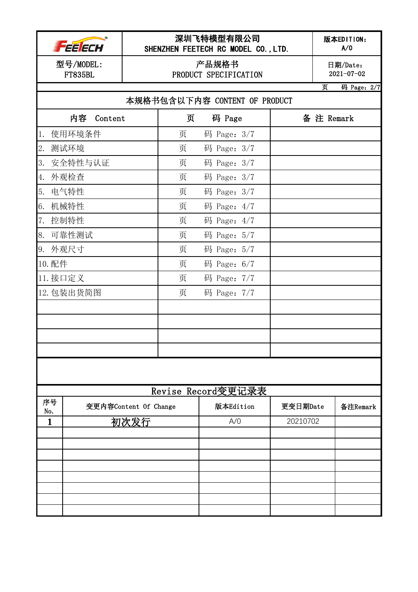|           | <i>FEELECH</i>              |                       | SHENZHEN FEETECH RC MODEL CO., LTD. | 深圳飞特模型有限公司                     |          |           | 版本EDITION:<br>A/0            |
|-----------|-----------------------------|-----------------------|-------------------------------------|--------------------------------|----------|-----------|------------------------------|
|           | 型号/MODEL:<br><b>FT835BL</b> |                       |                                     | 产品规格书<br>PRODUCT SPECIFICATION |          |           | 日期/Date:<br>$2021 - 07 - 02$ |
|           |                             |                       |                                     |                                |          | 页         | 码 Page: 2/7                  |
|           |                             |                       | 本规格书包含以下内容 CONTENT OF PRODUCT       |                                |          |           |                              |
|           | 内容<br>Content               |                       | 页                                   | 码 Page                         |          | 备注 Remark |                              |
| $1. \,$   | 使用环境条件                      |                       | 页                                   | 码 Page: 3/7                    |          |           |                              |
| 2.        | 测试环境                        |                       | 页                                   | 码 Page: 3/7                    |          |           |                              |
| 3.        | 安全特性与认证                     |                       | 页                                   | 码 Page: $3/7$                  |          |           |                              |
| 4.        | 外观检查                        |                       | 页                                   | 码 Page: 3/7                    |          |           |                              |
| 5.        | 电气特性                        |                       | 页                                   | 码 Page: 3/7                    |          |           |                              |
| 6.        | 机械特性                        |                       | 页                                   | 码 Page: $4/7$                  |          |           |                              |
| 7.        | 控制特性                        |                       | 页                                   | 码 Page: $4/7$                  |          |           |                              |
| 8.        | 可靠性测试                       |                       | 页                                   | 码 Page: 5/7                    |          |           |                              |
| 9. 外观尺寸   |                             |                       | 页                                   | 码 Page: 5/7                    |          |           |                              |
| 10. 配件    |                             |                       | 页                                   | 码 Page: $6/7$                  |          |           |                              |
| 11. 接口定义  |                             |                       | 页                                   | 码 Page: 7/7                    |          |           |                              |
|           | 12. 包装出货简图                  |                       | 页                                   | 码 Page: 7/7                    |          |           |                              |
|           |                             |                       |                                     |                                |          |           |                              |
|           |                             |                       |                                     |                                |          |           |                              |
|           |                             |                       |                                     |                                |          |           |                              |
|           |                             |                       |                                     |                                |          |           |                              |
|           |                             |                       |                                     |                                |          |           |                              |
|           |                             |                       |                                     |                                |          |           |                              |
|           |                             |                       | Revise Record变更记录表                  |                                |          |           |                              |
| 序号<br>No. |                             | 变更内容Content Of Change |                                     | 版本Edition                      | 更变日期Date |           | 备注Remark                     |
| 1         |                             | 初次发行                  |                                     | A/O                            | 20210702 |           |                              |
|           |                             |                       |                                     |                                |          |           |                              |
|           |                             |                       |                                     |                                |          |           |                              |
|           |                             |                       |                                     |                                |          |           |                              |
|           |                             |                       |                                     |                                |          |           |                              |
|           |                             |                       |                                     |                                |          |           |                              |
|           |                             |                       |                                     |                                |          |           |                              |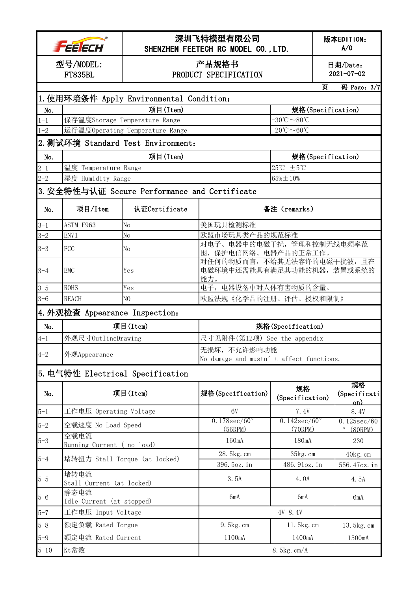|                                          | FEE ECH                                                       | 深圳飞特模型有限公司<br>SHENZHEN FEETECH RC MODEL CO., LTD. |                                                                 |                                               |                              | 版本EDITION:<br>A/0                 |  |  |
|------------------------------------------|---------------------------------------------------------------|---------------------------------------------------|-----------------------------------------------------------------|-----------------------------------------------|------------------------------|-----------------------------------|--|--|
|                                          | 产品规格书<br>型号/MODEL:<br><b>FT835BL</b><br>PRODUCT SPECIFICATION |                                                   |                                                                 |                                               | 日期/Date:<br>$2021 - 07 - 02$ |                                   |  |  |
|                                          | 页<br>码 Page: 3/7                                              |                                                   |                                                                 |                                               |                              |                                   |  |  |
| 1. 使用环境条件 Apply Environmental Condition: |                                                               |                                                   |                                                                 |                                               |                              |                                   |  |  |
| No.                                      |                                                               | 项目(Item)                                          |                                                                 | 规格(Specification)                             |                              |                                   |  |  |
| $1 - 1$                                  |                                                               | 保存温度Storage Temperature Range                     |                                                                 | $-30^{\circ}\text{C} \sim 80^{\circ}\text{C}$ |                              |                                   |  |  |
| $1 - 2$                                  |                                                               | 运行温度Operating Temperature Range                   | $-20^{\circ}\text{C} \sim 60^{\circ}\text{C}$                   |                                               |                              |                                   |  |  |
|                                          |                                                               | 2. 测试环境 Standard Test Environment:                |                                                                 |                                               |                              |                                   |  |  |
| No.                                      |                                                               | 项目(Item)                                          |                                                                 | 规格(Specification)                             |                              |                                   |  |  |
| $2 - 1$                                  | 温度 Temperature Range                                          |                                                   |                                                                 | 25℃ ±5℃                                       |                              |                                   |  |  |
| $2 - 2$                                  | 湿度 Humidity Range                                             |                                                   |                                                                 | $65\% \pm 10\%$                               |                              |                                   |  |  |
|                                          |                                                               | 3. 安全特性与认证 Secure Performance and Certificate     |                                                                 |                                               |                              |                                   |  |  |
| No.                                      | 项目/Item                                                       | 认证Certificate                                     |                                                                 | 备注 (remarks)                                  |                              |                                   |  |  |
| $3 - 1$                                  | ASTM F963                                                     | No                                                | 美国玩具检测标准                                                        |                                               |                              |                                   |  |  |
| $3 - 2$                                  | EN71                                                          | No                                                | 欧盟市场玩具类产品的规范标准                                                  |                                               |                              |                                   |  |  |
| $3 - 3$                                  | FCC                                                           | No                                                | 对电子、电器中的电磁干扰,管理和控制无线电频率范<br>围, 保护电信网络、电器产品的正常工作。                |                                               |                              |                                   |  |  |
| $3 - 4$                                  | <b>EMC</b>                                                    | Yes                                               | 对任何的物质而言, 不给其无法容许的电磁干扰波, 且在<br>电磁环境中还需能具有满足其功能的机器,装置或系统的<br>能力。 |                                               |                              |                                   |  |  |
| $3 - 5$                                  | <b>ROHS</b>                                                   | Yes                                               | 电子, 电器设备中对人体有害物质的含量。                                            |                                               |                              |                                   |  |  |
| $3 - 6$                                  | <b>REACH</b>                                                  | N <sub>0</sub>                                    | 欧盟法规《化学品的注册、评估、授权和限制》                                           |                                               |                              |                                   |  |  |
|                                          | 4. 外观检查 Appearance Inspection:                                |                                                   |                                                                 |                                               |                              |                                   |  |  |
| No.                                      |                                                               | 项目(Item)                                          |                                                                 | 规格(Specification)                             |                              |                                   |  |  |
| $4 - 1$                                  | 外观尺寸OutlineDrawing                                            |                                                   | 尺寸见附件(第12项) See the appendix                                    |                                               |                              |                                   |  |  |
| $4 - 2$                                  | 外观Appearance                                                  |                                                   | 无损坏,不允许影响功能<br>No damage and mustn' t affect functions.         |                                               |                              |                                   |  |  |
|                                          |                                                               | 5. 电气特性 Electrical Specification                  |                                                                 |                                               |                              |                                   |  |  |
| No.                                      |                                                               | 项目(Item)                                          | 规格(Specification)                                               | 规格<br>(Specification)                         |                              | 规格<br>(Specificati<br>on)         |  |  |
| $5 - 1$                                  | 工作电压 Operating Voltage                                        |                                                   | 6V                                                              | 7.4V                                          |                              | 8.4V                              |  |  |
| $5 - 2$                                  | 空载速度 No Load Speed                                            |                                                   | $0.178$ sec/ $60^{\circ}$<br>(56RPM)                            | $0.142\sec/60^{\circ}$<br>(70RPM)             |                              | 0.125sec/60<br>$\circ$<br>(80RPM) |  |  |
| $5 - 3$                                  | 空载电流<br>Running Current (no load)                             |                                                   | 160mA                                                           | 180mA                                         |                              | 230                               |  |  |
| $5 - 4$                                  | 堵转扭力 Stall Torque (at locked)                                 |                                                   | 28.5kg.cm                                                       | 35kg.cm                                       |                              | 40kg.cm                           |  |  |
| $5 - 5$                                  | 堵转电流                                                          |                                                   | 396. 5oz. in<br>3.5A                                            | 486.91oz.in<br>4.0A                           |                              | 556.47oz.in<br>4.5A               |  |  |
|                                          | Stall Current (at locked)<br>静态电流                             |                                                   |                                                                 |                                               |                              |                                   |  |  |
| $5 - 6$                                  | Idle Current (at stopped)                                     |                                                   | 6mA                                                             | 6mA                                           |                              | 6mA                               |  |  |
| $5 - 7$                                  | 工作电压 Input Voltage                                            |                                                   |                                                                 | $4V - 8.4V$                                   |                              |                                   |  |  |
| $5 - 8$                                  | 额定负载 Rated Torgue                                             |                                                   | 9.5kg.cm                                                        | 11.5kg.cm                                     |                              | 13.5kg.cm                         |  |  |
| $5 - 9$                                  | 额定电流 Rated Current                                            |                                                   | 1100mA                                                          | 1400mA                                        |                              | 1500mA                            |  |  |
| $5 - 10$                                 | Kt常数                                                          |                                                   |                                                                 | 8.5kg.cm/A                                    |                              |                                   |  |  |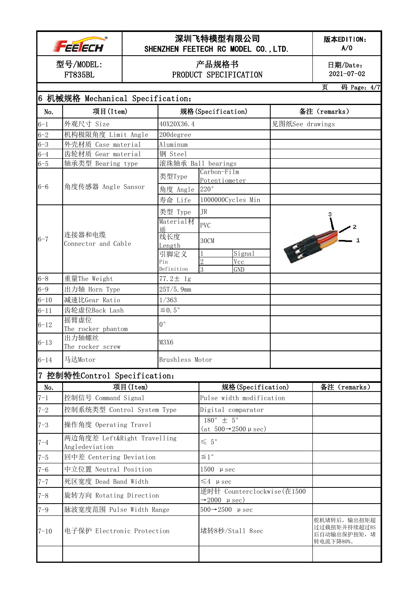|                             | FEE ECH                                 |                             | 深圳飞特模型有限公司<br>SHENZHEN FEETECH RC MODEL CO., LTD. |                                                                            |                              | 版本EDITION:<br>A/O                                        |  |
|-----------------------------|-----------------------------------------|-----------------------------|---------------------------------------------------|----------------------------------------------------------------------------|------------------------------|----------------------------------------------------------|--|
| 型号/MODEL:<br><b>FT835BL</b> |                                         |                             | 产品规格书<br>PRODUCT SPECIFICATION                    |                                                                            | 日期/Date:<br>$2021 - 07 - 02$ |                                                          |  |
|                             |                                         |                             |                                                   |                                                                            |                              | 码 Page: 4/7<br>页                                         |  |
|                             | 6 机械规格 Mechanical Specification:        |                             |                                                   |                                                                            |                              |                                                          |  |
| No.                         | 项目(Item)                                |                             |                                                   | 规格(Specification)                                                          |                              | 备注 (remarks)                                             |  |
| $6 - 1$                     | 外观尺寸 Size                               |                             | 40X20X36.4                                        |                                                                            | 见图纸See drawings              |                                                          |  |
| $6 - 2$                     | 机构极限角度 Limit Angle                      |                             | 200degree                                         |                                                                            |                              |                                                          |  |
| $6 - 3$                     | 外壳材质 Case material                      |                             | Aluminum                                          |                                                                            |                              |                                                          |  |
| $6 - 4$<br>$6 - 5$          | 齿轮材质 Gear material<br>轴承类型 Bearing type |                             | 钢 Steel                                           | 滚珠轴承 Ball bearings                                                         |                              |                                                          |  |
|                             |                                         |                             |                                                   | Carbon-Film                                                                |                              |                                                          |  |
|                             |                                         |                             | 类型Type                                            | Potentiometer                                                              |                              |                                                          |  |
| $6 - 6$                     | 角度传感器 Angle Sansor                      |                             | 角度 Angle                                          | 220°                                                                       |                              |                                                          |  |
|                             |                                         |                             | 寿命 Life                                           | 1000000Cycles Min                                                          |                              |                                                          |  |
|                             |                                         |                             | 类型 Type                                           | <b>JR</b>                                                                  |                              |                                                          |  |
|                             |                                         |                             | Material材                                         | <b>PVC</b>                                                                 |                              |                                                          |  |
|                             | 连接器和电缆                                  |                             | 乕                                                 |                                                                            |                              |                                                          |  |
| $6 - 7$                     | Connector and Cable                     |                             | 线长度<br>Length                                     | 30CM                                                                       | 安全                           |                                                          |  |
|                             |                                         |                             | 引脚定义                                              | Signal                                                                     |                              |                                                          |  |
|                             |                                         |                             | Pin                                               | $\overline{2}$<br>Vcc                                                      |                              |                                                          |  |
|                             |                                         |                             | Definition                                        | 3<br><b>GND</b>                                                            |                              |                                                          |  |
| $6 - 8$                     | 重量The Weight                            |                             | $77.2 \pm 1g$                                     |                                                                            |                              |                                                          |  |
| $6 - 9$                     | 出力轴 Horn Type                           |                             | 25T/5.9mm                                         |                                                                            |                              |                                                          |  |
| $6 - 10$                    | 减速比Gear Ratio                           |                             | 1/363                                             |                                                                            |                              |                                                          |  |
| $6 - 11$                    | 齿轮虚位Back Lash                           |                             | $\leq 0.5$ °                                      |                                                                            |                              |                                                          |  |
| $6 - 12$                    | 摇臂虚位<br>The rocker phantom              |                             | $0^{\circ}$                                       |                                                                            |                              |                                                          |  |
|                             | 出力轴螺丝                                   |                             |                                                   |                                                                            |                              |                                                          |  |
| $6 - 13$                    | The rocker screw                        |                             | M3X6                                              |                                                                            |                              |                                                          |  |
| $6 - 14$                    | 马达Motor                                 |                             | Brushless Motor                                   |                                                                            |                              |                                                          |  |
|                             | 7 控制特性Control Specification:            |                             |                                                   |                                                                            |                              |                                                          |  |
| No.                         |                                         | 项目(Item)                    |                                                   | 规格(Specification)                                                          |                              | 备注 (remarks)                                             |  |
| $7 - 1$                     | 控制信号 Command Signal                     |                             |                                                   | Pulse width modification                                                   |                              |                                                          |  |
| $7 - 2$                     | 控制系统类型 Control System Type              |                             |                                                   | Digital comparator                                                         |                              |                                                          |  |
| $7 - 3$                     | 操作角度 Operating Travel                   |                             |                                                   | $180^{\circ} \pm 5^{\circ}$<br>(at $500 \rightarrow 2500 \mu \text{sec}$ ) |                              |                                                          |  |
| $7 - 4$                     | Angledeviation                          | 两边角度差 Left&Right Travelling |                                                   | $\leqslant 5^{\circ}$                                                      |                              |                                                          |  |
| $7 - 5$                     | 回中差 Centering Deviation                 |                             | $\leq 1^{\circ}$                                  |                                                                            |                              |                                                          |  |
| $7 - 6$                     | 中立位置 Neutral Position                   |                             | $1500 \mu sec$                                    |                                                                            |                              |                                                          |  |
| $7 - 7$                     | 死区宽度 Dead Band Width                    |                             |                                                   | $\leq 4$ µ sec                                                             |                              |                                                          |  |
| $7 - 8$                     | 旋转方向 Rotating Direction                 |                             |                                                   | 逆时针 Counterclockwise(在1500                                                 |                              |                                                          |  |
|                             |                                         |                             | $\rightarrow$ 2000 µ sec)                         |                                                                            |                              |                                                          |  |
| $7 - 9$                     | 脉波宽度范围 Pulse Width Range                |                             |                                                   | $500 \rightarrow 2500$ µ sec                                               |                              |                                                          |  |
| $7 - 10$                    | 电子保护 Electronic Protection              |                             |                                                   | 堵转8秒/Stall 8sec                                                            |                              | 舵机堵转后, 输出扭矩超<br>过过载扭矩并持续超过8S<br>后自动输出保护扭矩,堵<br>转电流下降80%。 |  |
|                             |                                         |                             |                                                   |                                                                            |                              |                                                          |  |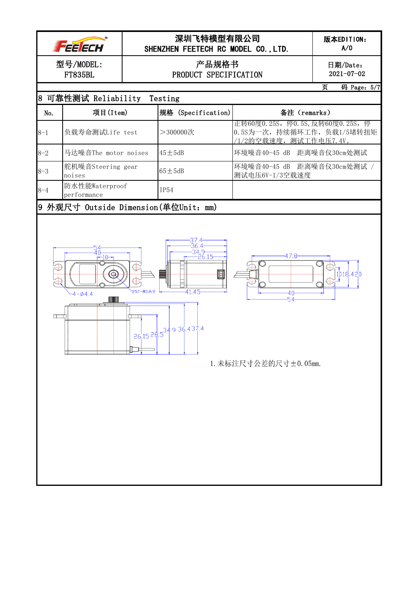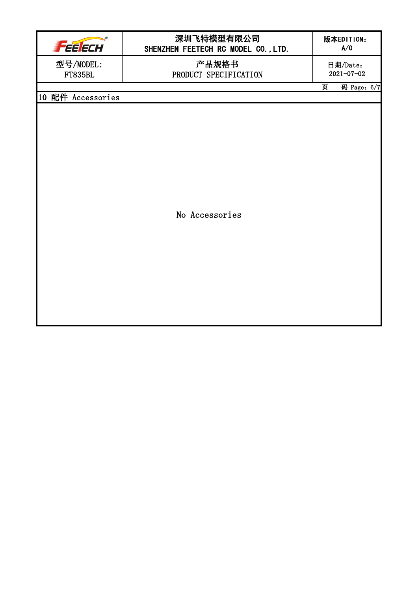| FEE ECH                     | 深圳飞特模型有限公司<br>SHENZHEN FEETECH RC MODEL CO., LTD. | 版本EDITION:<br>A/O            |
|-----------------------------|---------------------------------------------------|------------------------------|
| 型号/MODEL:<br><b>FT835BL</b> | 产品规格书<br>PRODUCT SPECIFICATION                    | 日期/Date:<br>$2021 - 07 - 02$ |
|                             |                                                   | 页<br>码 Page: $6/7$           |
| 10 配件 Accessories           |                                                   |                              |
|                             |                                                   |                              |
|                             |                                                   |                              |
|                             |                                                   |                              |
|                             |                                                   |                              |
|                             |                                                   |                              |
|                             |                                                   |                              |
|                             |                                                   |                              |
|                             | No Accessories                                    |                              |
|                             |                                                   |                              |
|                             |                                                   |                              |
|                             |                                                   |                              |
|                             |                                                   |                              |
|                             |                                                   |                              |
|                             |                                                   |                              |
|                             |                                                   |                              |
|                             |                                                   |                              |